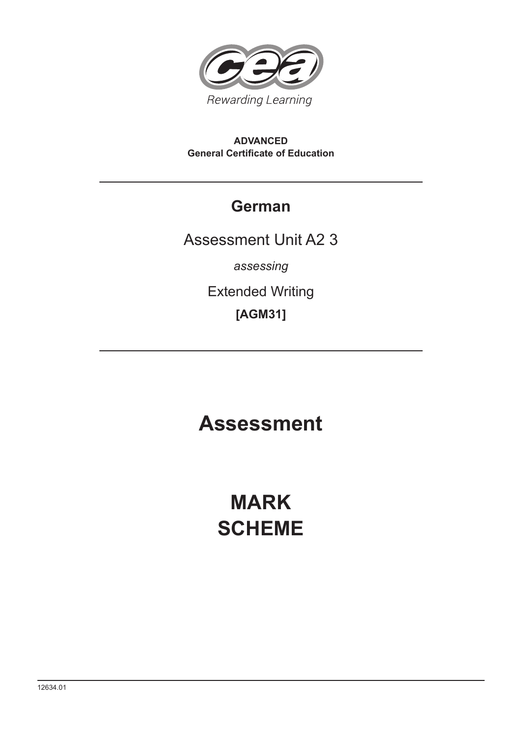

#### **ADVANCED General Certificate of Education**

# **German**

Assessment Unit A2 3

*assessing*

Extended Writing

**[AGM31]**

# **Assessment**

# **MARK SCHEME**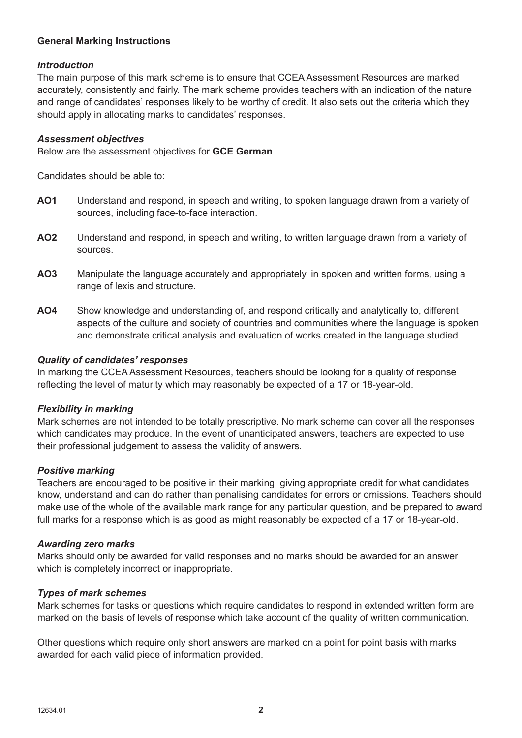#### **General Marking Instructions**

#### *Introduction*

The main purpose of this mark scheme is to ensure that CCEA Assessment Resources are marked accurately, consistently and fairly. The mark scheme provides teachers with an indication of the nature and range of candidates' responses likely to be worthy of credit. It also sets out the criteria which they should apply in allocating marks to candidates' responses.

#### *Assessment objectives*

Below are the assessment objectives for **GCE German**

Candidates should be able to:

- **AO1** Understand and respond, in speech and writing, to spoken language drawn from a variety of sources, including face-to-face interaction.
- **AO2** Understand and respond, in speech and writing, to written language drawn from a variety of sources.
- **AO3** Manipulate the language accurately and appropriately, in spoken and written forms, using a range of lexis and structure.
- **AO4** Show knowledge and understanding of, and respond critically and analytically to, different aspects of the culture and society of countries and communities where the language is spoken and demonstrate critical analysis and evaluation of works created in the language studied.

#### *Quality of candidates' responses*

In marking the CCEA Assessment Resources, teachers should be looking for a quality of response reflecting the level of maturity which may reasonably be expected of a 17 or 18-year-old.

#### *Flexibility in marking*

Mark schemes are not intended to be totally prescriptive. No mark scheme can cover all the responses which candidates may produce. In the event of unanticipated answers, teachers are expected to use their professional judgement to assess the validity of answers.

#### *Positive marking*

Teachers are encouraged to be positive in their marking, giving appropriate credit for what candidates know, understand and can do rather than penalising candidates for errors or omissions. Teachers should make use of the whole of the available mark range for any particular question, and be prepared to award full marks for a response which is as good as might reasonably be expected of a 17 or 18-year-old.

#### *Awarding zero marks*

Marks should only be awarded for valid responses and no marks should be awarded for an answer which is completely incorrect or inappropriate.

#### *Types of mark schemes*

Mark schemes for tasks or questions which require candidates to respond in extended written form are marked on the basis of levels of response which take account of the quality of written communication.

Other questions which require only short answers are marked on a point for point basis with marks awarded for each valid piece of information provided.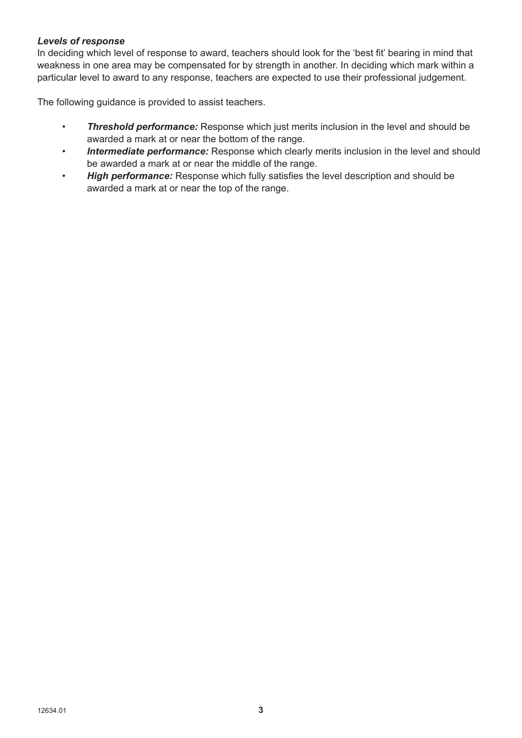#### *Levels of response*

In deciding which level of response to award, teachers should look for the 'best fit' bearing in mind that weakness in one area may be compensated for by strength in another. In deciding which mark within a particular level to award to any response, teachers are expected to use their professional judgement.

The following guidance is provided to assist teachers.

- *Threshold performance:* Response which just merits inclusion in the level and should be awarded a mark at or near the bottom of the range.
- • *Intermediate performance:* Response which clearly merits inclusion in the level and should be awarded a mark at or near the middle of the range.
- *High performance:* Response which fully satisfies the level description and should be awarded a mark at or near the top of the range.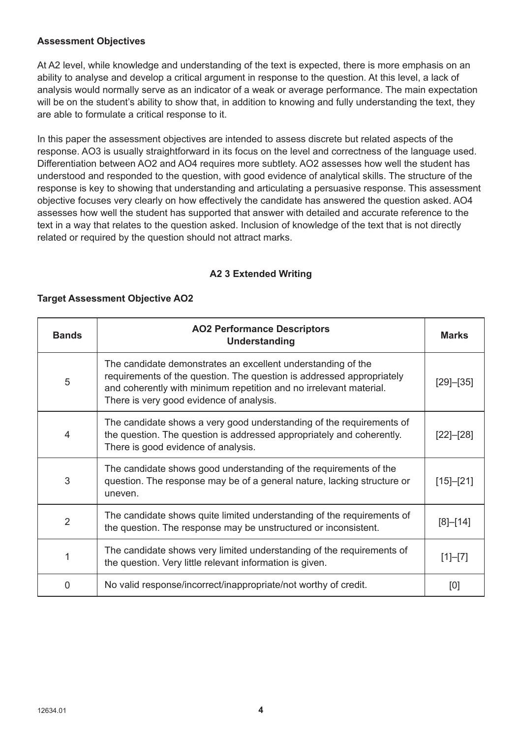#### **Assessment Objectives**

At A2 level, while knowledge and understanding of the text is expected, there is more emphasis on an ability to analyse and develop a critical argument in response to the question. At this level, a lack of analysis would normally serve as an indicator of a weak or average performance. The main expectation will be on the student's ability to show that, in addition to knowing and fully understanding the text, they are able to formulate a critical response to it.

In this paper the assessment objectives are intended to assess discrete but related aspects of the response. AO3 is usually straightforward in its focus on the level and correctness of the language used. Differentiation between AO2 and AO4 requires more subtlety. AO2 assesses how well the student has understood and responded to the question, with good evidence of analytical skills. The structure of the response is key to showing that understanding and articulating a persuasive response. This assessment objective focuses very clearly on how effectively the candidate has answered the question asked. AO4 assesses how well the student has supported that answer with detailed and accurate reference to the text in a way that relates to the question asked. Inclusion of knowledge of the text that is not directly related or required by the question should not attract marks.

#### **A2 3 Extended Writing**

#### **Target Assessment Objective AO2**

| <b>Bands</b>   | <b>AO2 Performance Descriptors</b><br><b>Understanding</b>                                                                                                                                                                                              | <b>Marks</b>    |
|----------------|---------------------------------------------------------------------------------------------------------------------------------------------------------------------------------------------------------------------------------------------------------|-----------------|
| 5              | The candidate demonstrates an excellent understanding of the<br>requirements of the question. The question is addressed appropriately<br>and coherently with minimum repetition and no irrelevant material.<br>There is very good evidence of analysis. | $[29]$ - $[35]$ |
| 4              | The candidate shows a very good understanding of the requirements of<br>the question. The question is addressed appropriately and coherently.<br>There is good evidence of analysis.                                                                    | $[22]$ - $[28]$ |
| 3              | The candidate shows good understanding of the requirements of the<br>question. The response may be of a general nature, lacking structure or<br>uneven.                                                                                                 | $[15] - [21]$   |
| $\overline{2}$ | The candidate shows quite limited understanding of the requirements of<br>the question. The response may be unstructured or inconsistent.                                                                                                               | $[8] - [14]$    |
|                | The candidate shows very limited understanding of the requirements of<br>the question. Very little relevant information is given.                                                                                                                       | $[1]-[7]$       |
| 0              | No valid response/incorrect/inappropriate/not worthy of credit.                                                                                                                                                                                         | [0]             |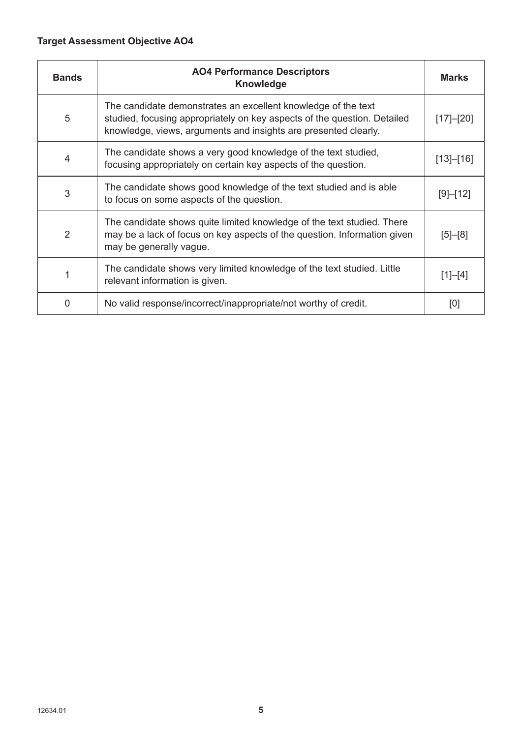## **Target Assessment Objective AO4**

| <b>Bands</b>   | <b>AO4 Performance Descriptors</b><br><b>Knowledge</b>                                                                                                                                                       | <b>Marks</b>    |
|----------------|--------------------------------------------------------------------------------------------------------------------------------------------------------------------------------------------------------------|-----------------|
| 5              | The candidate demonstrates an excellent knowledge of the text<br>studied, focusing appropriately on key aspects of the question. Detailed<br>knowledge, views, arguments and insights are presented clearly. | $[17]$ - $[20]$ |
| $\overline{4}$ | The candidate shows a very good knowledge of the text studied,<br>focusing appropriately on certain key aspects of the question.                                                                             | [13]–[16]       |
| 3              | The candidate shows good knowledge of the text studied and is able<br>to focus on some aspects of the question.                                                                                              | [9]–[12]        |
| 2              | The candidate shows quite limited knowledge of the text studied. There<br>may be a lack of focus on key aspects of the question. Information given<br>may be generally vague.                                | $[5] - [8]$     |
|                | The candidate shows very limited knowledge of the text studied. Little<br>relevant information is given.                                                                                                     | $[1]-[4]$       |
| 0              | No valid response/incorrect/inappropriate/not worthy of credit.                                                                                                                                              | [0]             |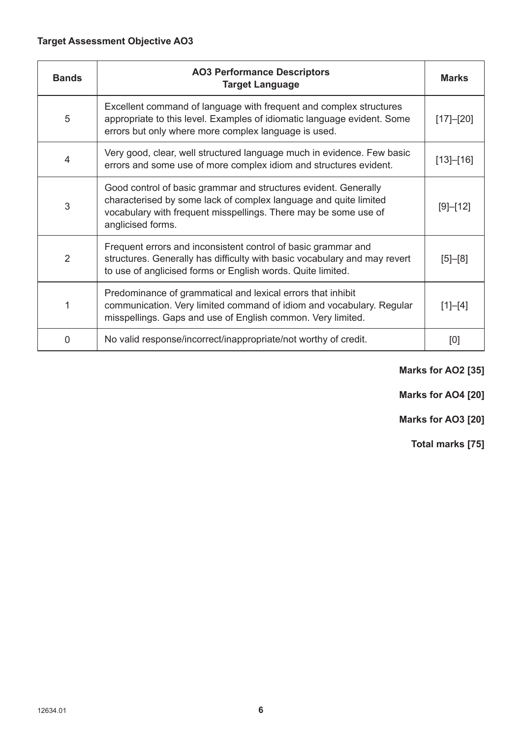## **Target Assessment Objective AO3**

| <b>Bands</b>   | <b>AO3 Performance Descriptors</b><br><b>Target Language</b>                                                                                                                                                                | <b>Marks</b>  |
|----------------|-----------------------------------------------------------------------------------------------------------------------------------------------------------------------------------------------------------------------------|---------------|
| 5              | Excellent command of language with frequent and complex structures<br>appropriate to this level. Examples of idiomatic language evident. Some<br>errors but only where more complex language is used.                       | [17]–[20]     |
| $\overline{4}$ | Very good, clear, well structured language much in evidence. Few basic<br>errors and some use of more complex idiom and structures evident.                                                                                 | [13]–[16]     |
| 3              | Good control of basic grammar and structures evident. Generally<br>characterised by some lack of complex language and quite limited<br>vocabulary with frequent misspellings. There may be some use of<br>anglicised forms. | [9]–[12]      |
| $\overline{2}$ | Frequent errors and inconsistent control of basic grammar and<br>structures. Generally has difficulty with basic vocabulary and may revert<br>to use of anglicised forms or English words. Quite limited.                   | $[5]$ - $[8]$ |
| 1              | Predominance of grammatical and lexical errors that inhibit<br>communication. Very limited command of idiom and vocabulary. Regular<br>misspellings. Gaps and use of English common. Very limited.                          | $[1]-[4]$     |
| 0              | No valid response/incorrect/inappropriate/not worthy of credit.                                                                                                                                                             | [0]           |

### **Marks for AO2 [35]**

**Marks for AO4 [20]**

**Marks for AO3 [20]**

**Total marks [75]**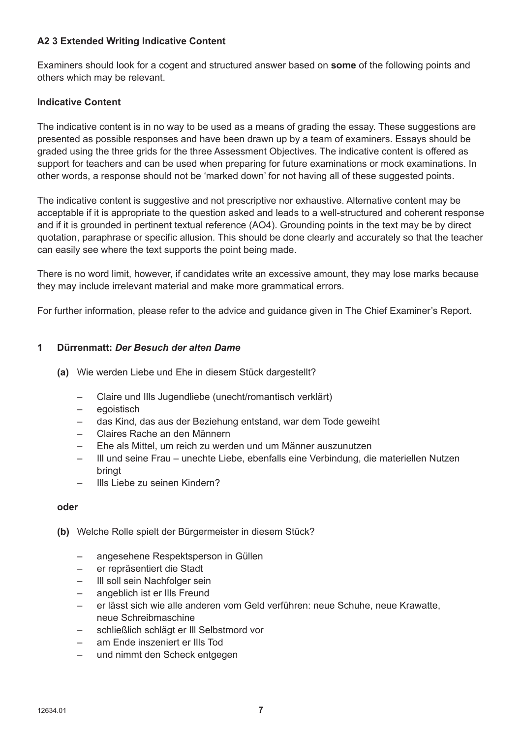#### **A2 3 Extended Writing Indicative Content**

Examiners should look for a cogent and structured answer based on **some** of the following points and others which may be relevant.

#### **Indicative Content**

The indicative content is in no way to be used as a means of grading the essay. These suggestions are presented as possible responses and have been drawn up by a team of examiners. Essays should be graded using the three grids for the three Assessment Objectives. The indicative content is offered as support for teachers and can be used when preparing for future examinations or mock examinations. In other words, a response should not be 'marked down' for not having all of these suggested points.

The indicative content is suggestive and not prescriptive nor exhaustive. Alternative content may be acceptable if it is appropriate to the question asked and leads to a well-structured and coherent response and if it is grounded in pertinent textual reference (AO4). Grounding points in the text may be by direct quotation, paraphrase or specific allusion. This should be done clearly and accurately so that the teacher can easily see where the text supports the point being made.

There is no word limit, however, if candidates write an excessive amount, they may lose marks because they may include irrelevant material and make more grammatical errors.

For further information, please refer to the advice and guidance given in The Chief Examiner's Report.

#### **1 Dürrenmatt:** *Der Besuch der alten Dame*

- **(a)** Wie werden Liebe und Ehe in diesem Stück dargestellt?
	- Claire und Ills Jugendliebe (unecht/romantisch verklärt)
	- egoistisch
	- das Kind, das aus der Beziehung entstand, war dem Tode geweiht
	- Claires Rache an den Männern
	- Ehe als Mittel, um reich zu werden und um Männer auszunutzen
	- Ill und seine Frau unechte Liebe, ebenfalls eine Verbindung, die materiellen Nutzen bringt
	- Ills Liebe zu seinen Kindern?

#### **oder**

- **(b)** Welche Rolle spielt der Bürgermeister in diesem Stück?
	- angesehene Respektsperson in Güllen
	- er repräsentiert die Stadt
	- Ill soll sein Nachfolger sein
	- angeblich ist er Ills Freund
	- er lässt sich wie alle anderen vom Geld verführen: neue Schuhe, neue Krawatte, neue Schreibmaschine
	- schließlich schlägt er Ill Selbstmord vor
	- am Ende inszeniert er Ills Tod
	- und nimmt den Scheck entgegen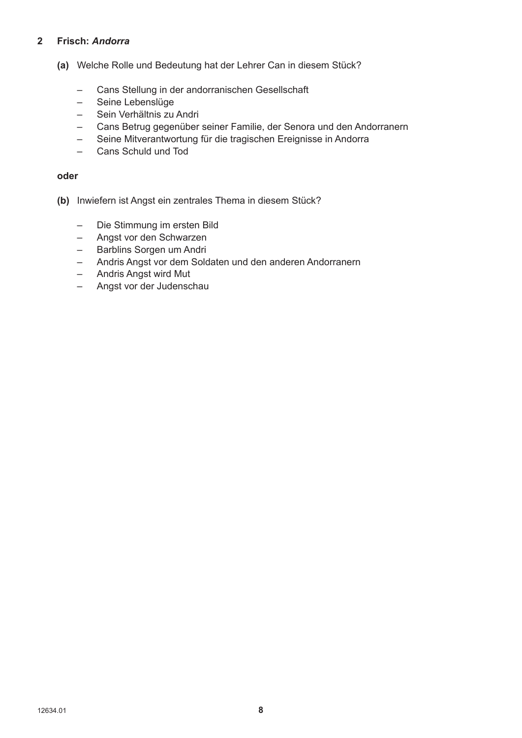#### **2 Frisch:** *Andorra*

- **(a)** Welche Rolle und Bedeutung hat der Lehrer Can in diesem Stück?
	- Cans Stellung in der andorranischen Gesellschaft
	- Seine Lebenslüge
	- Sein Verhältnis zu Andri
	- Cans Betrug gegenüber seiner Familie, der Senora und den Andorranern
	- Seine Mitverantwortung für die tragischen Ereignisse in Andorra
	- Cans Schuld und Tod

#### **oder**

- **(b)** Inwiefern ist Angst ein zentrales Thema in diesem Stück?
	- Die Stimmung im ersten Bild
	- Angst vor den Schwarzen
	- Barblins Sorgen um Andri
	- Andris Angst vor dem Soldaten und den anderen Andorranern
	- Andris Angst wird Mut
	- Angst vor der Judenschau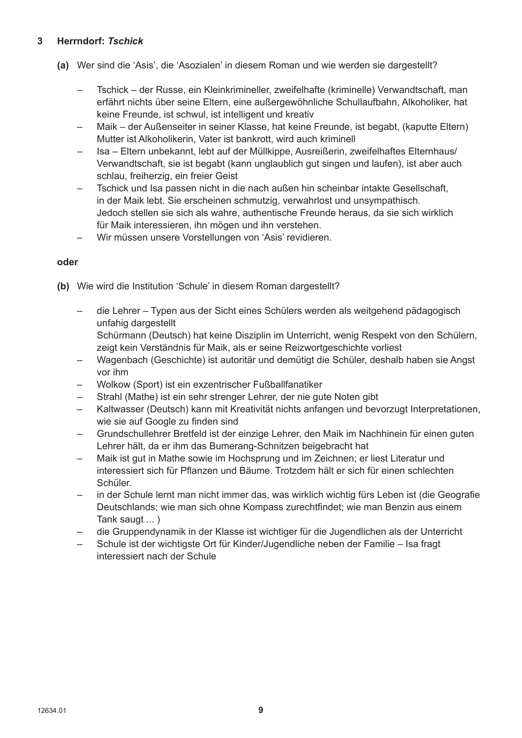#### **3 Herrndorf:** *Tschick*

- **(a)** Wer sind die 'Asis', die 'Asozialen' in diesem Roman und wie werden sie dargestellt?
	- Tschick der Russe, ein Kleinkrimineller, zweifelhafte (kriminelle) Verwandtschaft, man erfährt nichts über seine Eltern, eine außergewöhnliche Schullaufbahn, Alkoholiker, hat keine Freunde, ist schwul, ist intelligent und kreativ
	- Maik der Außenseiter in seiner Klasse, hat keine Freunde, ist begabt, (kaputte Eltern) Mutter ist Alkoholikerin, Vater ist bankrott, wird auch kriminell
	- Isa Eltern unbekannt, lebt auf der Müllkippe, Ausreißerin, zweifelhaftes Elternhaus/ Verwandtschaft, sie ist begabt (kann unglaublich gut singen und laufen), ist aber auch schlau, freiherzig, ein freier Geist
	- Tschick und Isa passen nicht in die nach außen hin scheinbar intakte Gesellschaft, in der Maik lebt. Sie erscheinen schmutzig, verwahrlost und unsympathisch. Jedoch stellen sie sich als wahre, authentische Freunde heraus, da sie sich wirklich für Maik interessieren, ihn mögen und ihn verstehen.
	- Wir müssen unsere Vorstellungen von 'Asis' revidieren.

#### **oder**

- **(b)** Wie wird die Institution 'Schule' in diesem Roman dargestellt?
	- die Lehrer Typen aus der Sicht eines Schülers werden als weitgehend pädagogisch unfahig dargestellt

 Schürmann (Deutsch) hat keine Disziplin im Unterricht, wenig Respekt von den Schülern, zeigt kein Verständnis für Maik, als er seine Reizwortgeschichte vorliest

- Wagenbach (Geschichte) ist autoritär und demütigt die Schüler, deshalb haben sie Angst vor ihm
- Wolkow (Sport) ist ein exzentrischer Fußballfanatiker
- Strahl (Mathe) ist ein sehr strenger Lehrer, der nie gute Noten gibt
- Kaltwasser (Deutsch) kann mit Kreativität nichts anfangen und bevorzugt Interpretationen, wie sie auf Google zu finden sind
- Grundschullehrer Bretfeld ist der einzige Lehrer, den Maik im Nachhinein für einen guten Lehrer hält, da er ihm das Bumerang-Schnitzen beigebracht hat
- Maik ist gut in Mathe sowie im Hochsprung und im Zeichnen; er liest Literatur und interessiert sich für Pflanzen und Bäume. Trotzdem hält er sich für einen schlechten Schüler.
- in der Schule lernt man nicht immer das, was wirklich wichtig fürs Leben ist (die Geografie Deutschlands; wie man sich ohne Kompass zurechtfindet; wie man Benzin aus einem Tank saugt ... )
- die Gruppendynamik in der Klasse ist wichtiger für die Jugendlichen als der Unterricht
- Schule ist der wichtigste Ort für Kinder/Jugendliche neben der Familie Isa fragt interessiert nach der Schule